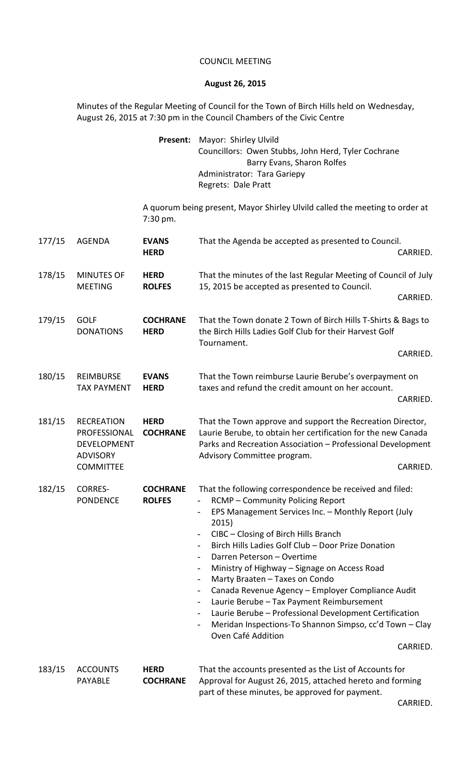## COUNCIL MEETING

## **August 26, 2015**

Minutes of the Regular Meeting of Council for the Town of Birch Hills held on Wednesday, August 26, 2015 at 7:30 pm in the Council Chambers of the Civic Centre

> **Present:** Mayor: Shirley Ulvild Councillors: Owen Stubbs, John Herd, Tyler Cochrane Barry Evans, Sharon Rolfes Administrator: Tara Gariepy Regrets: Dale Pratt

A quorum being present, Mayor Shirley Ulvild called the meeting to order at 7:30 pm.

| 177/15 | <b>AGENDA</b>                                                                                  | <b>EVANS</b><br><b>HERD</b>      | That the Agenda be accepted as presented to Council.<br>CARRIED.                                                                                                                                                                                                                                                                                                                                                                                                                                                                                                                                                                                                                                                                                                                       |
|--------|------------------------------------------------------------------------------------------------|----------------------------------|----------------------------------------------------------------------------------------------------------------------------------------------------------------------------------------------------------------------------------------------------------------------------------------------------------------------------------------------------------------------------------------------------------------------------------------------------------------------------------------------------------------------------------------------------------------------------------------------------------------------------------------------------------------------------------------------------------------------------------------------------------------------------------------|
| 178/15 | <b>MINUTES OF</b><br><b>MEETING</b>                                                            | <b>HERD</b><br><b>ROLFES</b>     | That the minutes of the last Regular Meeting of Council of July<br>15, 2015 be accepted as presented to Council.                                                                                                                                                                                                                                                                                                                                                                                                                                                                                                                                                                                                                                                                       |
| 179/15 | <b>GOLF</b><br><b>DONATIONS</b>                                                                | <b>COCHRANE</b><br><b>HERD</b>   | CARRIED.<br>That the Town donate 2 Town of Birch Hills T-Shirts & Bags to<br>the Birch Hills Ladies Golf Club for their Harvest Golf<br>Tournament.<br>CARRIED.                                                                                                                                                                                                                                                                                                                                                                                                                                                                                                                                                                                                                        |
| 180/15 | REIMBURSE<br><b>TAX PAYMENT</b>                                                                | <b>EVANS</b><br><b>HERD</b>      | That the Town reimburse Laurie Berube's overpayment on<br>taxes and refund the credit amount on her account.<br>CARRIED.                                                                                                                                                                                                                                                                                                                                                                                                                                                                                                                                                                                                                                                               |
| 181/15 | <b>RECREATION</b><br>PROFESSIONAL<br><b>DEVELOPMENT</b><br><b>ADVISORY</b><br><b>COMMITTEE</b> | <b>HERD</b><br><b>COCHRANE</b>   | That the Town approve and support the Recreation Director,<br>Laurie Berube, to obtain her certification for the new Canada<br>Parks and Recreation Association - Professional Development<br>Advisory Committee program.<br>CARRIED.                                                                                                                                                                                                                                                                                                                                                                                                                                                                                                                                                  |
| 182/15 | <b>CORRES-</b><br><b>PONDENCE</b>                                                              | <b>COCHRANE</b><br><b>ROLFES</b> | That the following correspondence be received and filed:<br><b>RCMP - Community Policing Report</b><br>$\overline{\phantom{0}}$<br>EPS Management Services Inc. - Monthly Report (July<br>2015)<br>CIBC - Closing of Birch Hills Branch<br>$\overline{\phantom{0}}$<br>Birch Hills Ladies Golf Club - Door Prize Donation<br>$\overline{\phantom{a}}$<br>Darren Peterson - Overtime<br>$\overline{\phantom{a}}$<br>Ministry of Highway - Signage on Access Road<br>Marty Braaten - Taxes on Condo<br>Canada Revenue Agency - Employer Compliance Audit<br>Laurie Berube - Tax Payment Reimbursement<br>Laurie Berube - Professional Development Certification<br>Meridan Inspections-To Shannon Simpso, cc'd Town - Clay<br>$\overline{\phantom{a}}$<br>Oven Café Addition<br>CARRIED. |
| 183/15 | <b>ACCOUNTS</b>                                                                                | <b>HERD</b>                      | That the accounts presented as the List of Accounts for                                                                                                                                                                                                                                                                                                                                                                                                                                                                                                                                                                                                                                                                                                                                |

| LOS/IS ACCOUNIS | MERD            | That the accounts presented as the List of Accounts for   |
|-----------------|-----------------|-----------------------------------------------------------|
| PAYABLE         | <b>COCHRANE</b> | Approval for August 26, 2015, attached hereto and forming |
|                 |                 | part of these minutes, be approved for payment.           |

CARRIED.